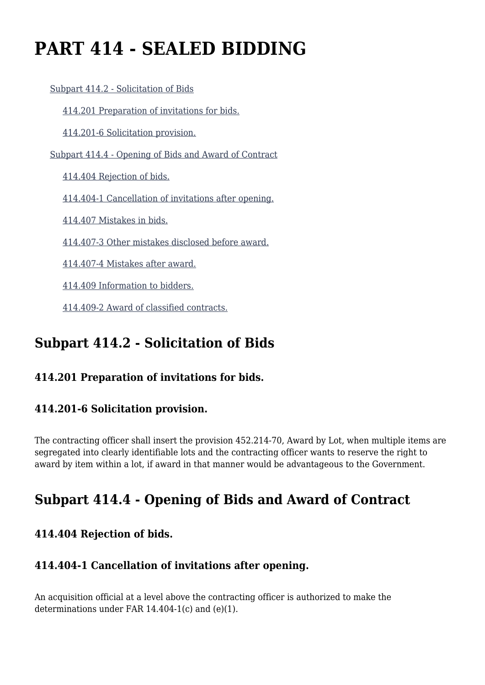# **PART 414 - SEALED BIDDING**

[Subpart 414.2 - Solicitation of Bids](https://origin-www.acquisition.gov/%5Brp:link:agar-part-414%5D#Subpart_414_2_T48_40213151)

[414.201 Preparation of invitations for bids.](https://origin-www.acquisition.gov/%5Brp:link:agar-part-414%5D#Section_414_201_T48_4021315111)

[414.201-6 Solicitation provision.](https://origin-www.acquisition.gov/%5Brp:link:agar-part-414%5D#Section_414_201_6_T48_4021315112)

[Subpart 414.4 - Opening of Bids and Award of Contract](https://origin-www.acquisition.gov/%5Brp:link:agar-part-414%5D#Subpart_414_4_T48_40213152)

[414.404 Rejection of bids.](https://origin-www.acquisition.gov/%5Brp:link:agar-part-414%5D#Section_414_404_T48_4021315211)

[414.404-1 Cancellation of invitations after opening.](https://origin-www.acquisition.gov/%5Brp:link:agar-part-414%5D#Section_414_404_1_T48_4021315212)

[414.407 Mistakes in bids.](https://origin-www.acquisition.gov/%5Brp:link:agar-part-414%5D#Section_414_407_T48_4021315213)

[414.407-3 Other mistakes disclosed before award.](https://origin-www.acquisition.gov/%5Brp:link:agar-part-414%5D#Section_414_407_3_T48_4021315214)

[414.407-4 Mistakes after award.](https://origin-www.acquisition.gov/%5Brp:link:agar-part-414%5D#Section_414_407_4_T48_4021315215)

[414.409 Information to bidders.](https://origin-www.acquisition.gov/%5Brp:link:agar-part-414%5D#Section_414_409_T48_4021315216)

[414.409-2 Award of classified contracts.](https://origin-www.acquisition.gov/%5Brp:link:agar-part-414%5D#Section_414_409_2_T48_4021315217)

# **Subpart 414.2 - Solicitation of Bids**

# **414.201 Preparation of invitations for bids.**

# **414.201-6 Solicitation provision.**

The contracting officer shall insert the provision 452.214-70, Award by Lot, when multiple items are segregated into clearly identifiable lots and the contracting officer wants to reserve the right to award by item within a lot, if award in that manner would be advantageous to the Government.

# **Subpart 414.4 - Opening of Bids and Award of Contract**

# **414.404 Rejection of bids.**

#### **414.404-1 Cancellation of invitations after opening.**

An acquisition official at a level above the contracting officer is authorized to make the determinations under FAR 14.404-1(c) and (e)(1).